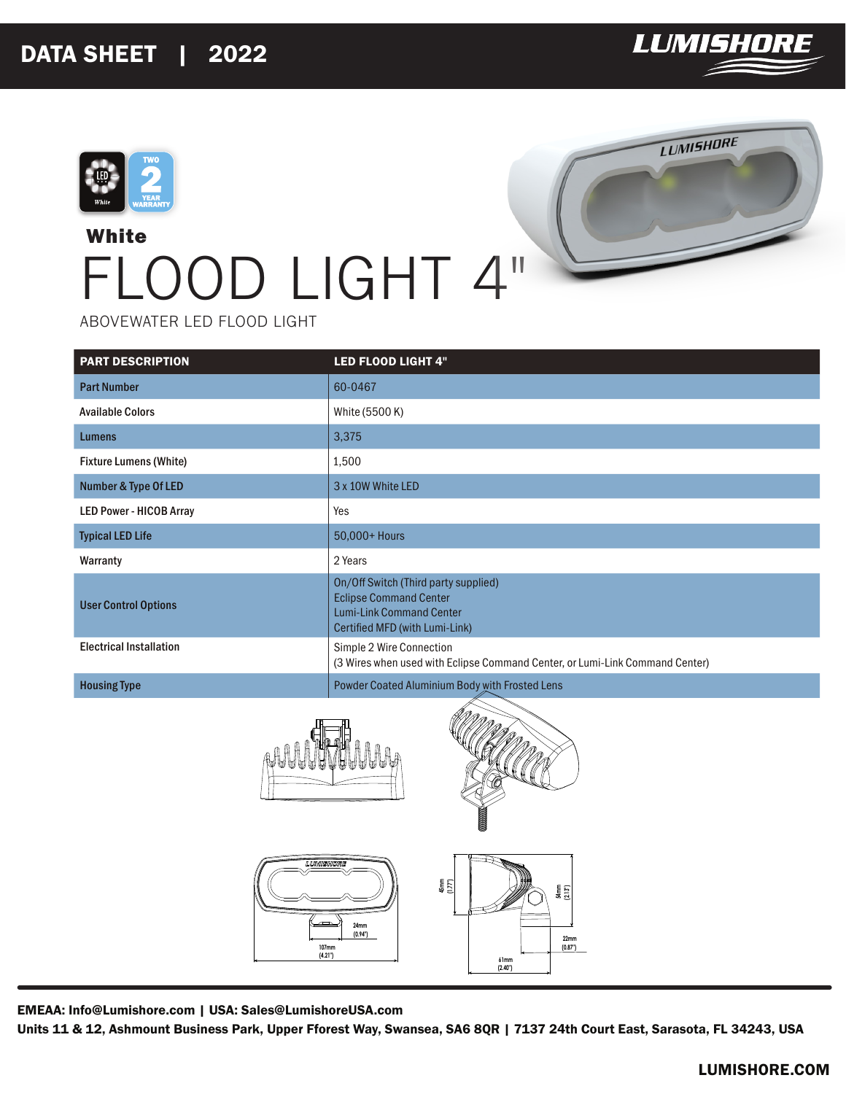



## **White** FLOOD LIGHT 4"



ABOVEWATER LED FLOOD LIGHT

| <b>PART DESCRIPTION</b>         | <b>LED FLOOD LIGHT 4"</b>                                                                                                                  |
|---------------------------------|--------------------------------------------------------------------------------------------------------------------------------------------|
| <b>Part Number</b>              | 60-0467                                                                                                                                    |
| <b>Available Colors</b>         | White (5500 K)                                                                                                                             |
| <b>Lumens</b>                   | 3,375                                                                                                                                      |
| <b>Fixture Lumens (White)</b>   | 1,500                                                                                                                                      |
| <b>Number &amp; Type Of LED</b> | 3 x 10W White LED                                                                                                                          |
| <b>LED Power - HICOB Array</b>  | Yes                                                                                                                                        |
| <b>Typical LED Life</b>         | 50,000+ Hours                                                                                                                              |
| Warranty                        | 2 Years                                                                                                                                    |
| <b>User Control Options</b>     | On/Off Switch (Third party supplied)<br><b>Eclipse Command Center</b><br><b>Lumi-Link Command Center</b><br>Certified MFD (with Lumi-Link) |
| <b>Electrical Installation</b>  | Simple 2 Wire Connection<br>(3 Wires when used with Eclipse Command Center, or Lumi-Link Command Center)                                   |
| <b>Housing Type</b>             | Powder Coated Aluminium Body with Frosted Lens                                                                                             |



EMEAA: Info@Lumishore.com | USA: Sales@LumishoreUSA.com

Units 11 & 12, Ashmount Business Park, Upper Fforest Way, Swansea, SA6 8QR | 7137 24th Court East, Sarasota, FL 34243, USA

**61mm (2.40")**